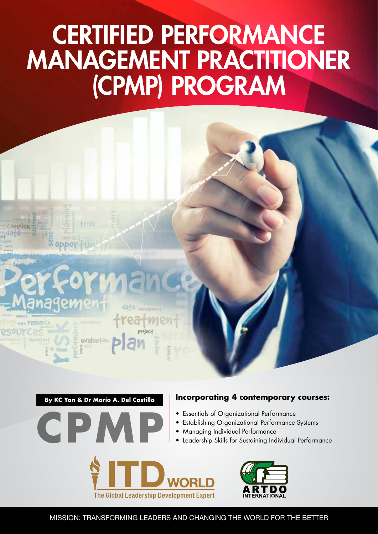# CERTIFIED PERFORMANCE MANAGEMENT PRACTITIONER (CPMP) PROGRAM



**By KC Yan & Dr Mario A. Del Castillo**



#### **Incorporating 4 contemporary courses:**

- • Essentials of Organizational Performance
- Establishing Organizational Performance Systems
- 
- 



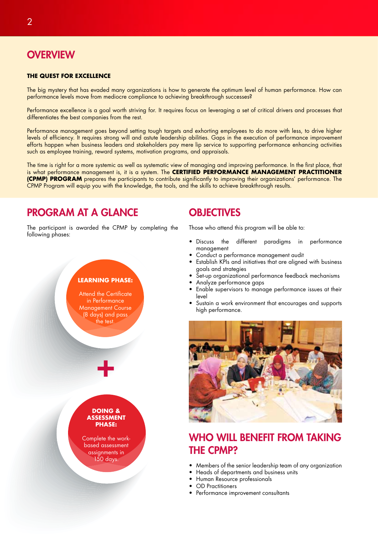# **OVERVIEW**

#### **THE QUEST FOR EXCELLENCE**

The big mystery that has evaded many organizations is how to generate the optimum level of human performance. How can performance levels move from mediocre compliance to achieving breakthrough successes?

Performance excellence is a goal worth striving for. It requires focus on leveraging a set of critical drivers and processes that differentiates the best companies from the rest.

Performance management goes beyond setting tough targets and exhorting employees to do more with less, to drive higher levels of efficiency. It requires strong will and astute leadership abilities. Gaps in the execution of performance improvement efforts happen when business leaders and stakeholders pay mere lip service to supporting performance enhancing activities such as employee training, reward systems, motivation programs, and appraisals.

The time is right for a more systemic as well as systematic view of managing and improving performance. In the first place, that is what performance management is, it is a system. The **CERTIFIED PERFORMANCE MANAGEMENT PRACTITIONER (CPMP) PROGRAM** prepares the participants to contribute significantly to improving their organizations' performance. The CPMP Program will equip you with the knowledge, the tools, and the skills to achieve breakthrough results.

# PROGRAM AT A GLANCE

The participant is awarded the CPMP by completing the following phases:

#### **LEARNING PHASE:**

Attend the Certificate in Performance Management Course (8 days) and pass the test.



+

Complete the workbased assessment assignments in 150 days.

# **OBJECTIVES**

Those who attend this program will be able to:

- • Discuss the different paradigms in performance management
- Conduct a performance management audit
- Establish KPIs and initiatives that are alianed with business goals and strategies
- Set-up organizational performance feedback mechanisms
- Analyze performance gaps
- Enable supervisors to manage performance issues at their level
- Sustain a work environment that encourages and supports high performance.



# WHO WILL BENEFIT FROM TAKING THE CPMP?

- Members of the senior leadership team of any organization
- Heads of departments and business units
- Human Resource professionals
- **OD** Practitioners
- • Performance improvement consultants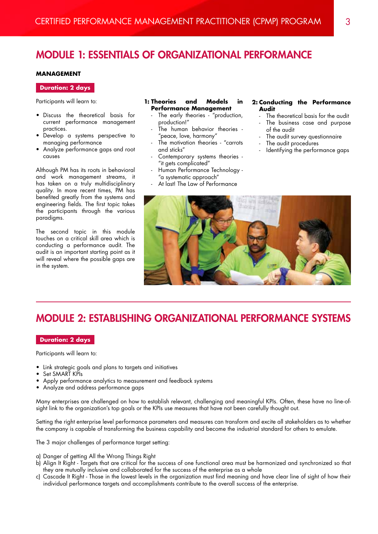# MODULE 1: ESSENTIALS OF ORGANIZATIONAL PERFORMANCE

#### **MANAGEMENT**

#### **Duration: 2 days**

Participants will learn to:

- • Discuss the theoretical basis for current performance management practices.
- • Develop a systems perspective to managing performance
- Analyze performance gaps and root causes

Although PM has its roots in behavioral and work management streams, it has taken on a truly multidisciplinary quality. In more recent times, PM has benefited greatly from the systems and engineering fields. The first topic takes the participants through the various paradigms.

The second topic in this module touches on a critical skill area which is conducting a performance audit. The audit is an important starting point as it will reveal where the possible gaps are in the system.

#### **1: Theories and Models in Performance Management**

- The early theories "production, production!"
- The human behavior theories -"peace, love, harmony"
- The motivation theories "carrots and sticks"
- Contemporary systems theories -"it gets complicated"
- Human Performance Technology -"a systematic approach"
- At last! The Law of Performance

#### **2: Conducting the Performance Audit**

- The theoretical basis for the audit
- The business case and purpose of the audit
- The audit survey questionnaire
- The audit procedures
- Identifying the performance gaps



# MODULE 2: ESTABLISHING ORGANIZATIONAL PERFORMANCE SYSTEMS

#### **Duration: 2 days**

Participants will learn to:

- Link strategic goals and plans to targets and initiatives
- Set SMART KPIs
- Apply performance analytics to measurement and feedback systems
- Analyze and address performance gaps

Many enterprises are challenged on how to establish relevant, challenging and meaningful KPIs. Often, these have no line-ofsight link to the organization's top goals or the KPIs use measures that have not been carefully thought out.

Setting the right enterprise level performance parameters and measures can transform and excite all stakeholders as to whether the company is capable of transforming the business capability and become the industrial standard for others to emulate.

The 3 major challenges of performance target setting:

- a) Danger of getting All the Wrong Things Right
- b) Align It Right Targets that are critical for the success of one functional area must be harmonized and synchronized so that they are mutually inclusive and collaborated for the success of the enterprise as a whole
- c) Cascade It Right Those in the lowest levels in the organization must find meaning and have clear line of sight of how their individual performance targets and accomplishments contribute to the overall success of the enterprise.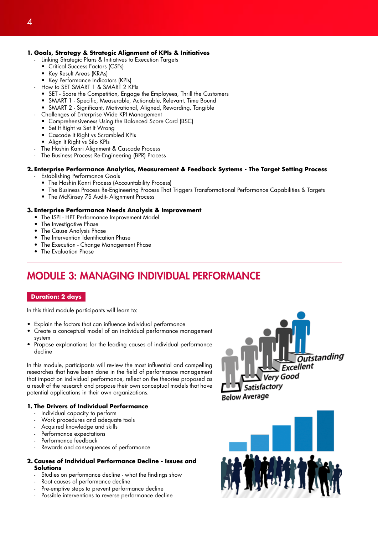#### **1. Goals, Strategy & Strategic Alignment of KPIs & Initiatives**

- Linking Strategic Plans & Initiatives to Execution Targets
	- • Critical Success Factors (CSFs)
	- • Key Result Areas (KRAs)
	- • Key Performance Indicators (KPIs)
- How to SET SMART 1 & SMART 2 KPIs
	- • SET Scare the Competition, Engage the Employees, Thrill the Customers
	- SMART 1 Specific, Measurable, Actionable, Relevant, Time Bound
	- SMART 2 Significant, Motivational, Aligned, Rewarding, Tangible
- Challenges of Enterprise Wide KPI Management
	- • Comprehensiveness Using the Balanced Score Card (BSC)
	- Set It Right vs Set It Wrong
	- Cascade It Right vs Scrambled KPIs
	- • Align It Right vs Silo KPIs
- The Hoshin Kanri Alignment & Cascade Process
- The Business Process Re-Engineering (BPR) Process

#### **2. Enterprise Performance Analytics, Measurement & Feedback Systems - The Target Setting Process**

- **Establishing Performance Goals**
- The Hoshin Kanri Process (Accountability Process)
- • The Business Process Re-Engineering Process That Triggers Transformational Performance Capabilities & Targets
- The McKinsey 7S Audit- Alignment Process

#### **3. Enterprise Performance Needs Analysis & Improvement**

- The ISPI HPT Performance Improvement Model
- The Investigative Phase
- The Cause Analysis Phase
- The Intervention Identification Phase
- The Execution Change Management Phase
- The Evaluation Phase

# MODULE 3: MANAGING INDIVIDUAL PERFORMANCE

#### **Duration: 2 days**

In this third module participants will learn to:

- Explain the factors that can influence individual performance
- Create a conceptual model of an individual performance management system
- Propose explanations for the leading causes of individual performance decline

In this module, participants will review the most influential and compelling researches that have been done in the field of performance management that impact on individual performance, reflect on the theories proposed as a result of the research and propose their own conceptual models that have potential applications in their own organizations.

#### **1. The Drivers of Individual Performance**

- Individual capacity to perform
- Work procedures and adequate tools
- Acquired knowledge and skills
- Performance expectations
- Performance feedback
- Rewards and consequences of performance

#### **2. Causes of Individual Performance Decline - Issues and Solutions**

- Studies on performance decline what the findings show
- Root causes of performance decline
- Pre-emptive steps to prevent performance decline
- Possible interventions to reverse performance decline



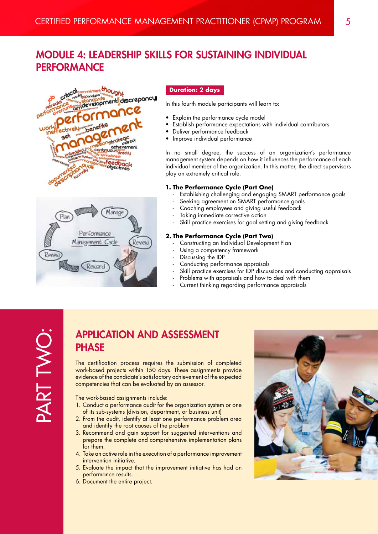# MODULE 4: LEADERSHIP SKILLS FOR SUSTAINING INDIVIDUAL **PERFORMANCE**





#### **Duration: 2 days**

In this fourth module participants will learn to:

- Explain the performance cycle model
- Establish performance expectations with individual contributors
- • Deliver performance feedback
- Improve individual performance

In no small degree, the success of an organization's performance management system depends on how it influences the performance of each individual member of the organization. In this matter, the direct supervisors play an extremely critical role.

#### **1. The Performance Cycle (Part One)**

- Establishing challenging and engaging SMART performance goals
- Seeking agreement on SMART performance goals
- Coaching employees and giving useful feedback
- Taking immediate corrective action
- Skill practice exercises for goal setting and giving feedback

#### **2. The Performance Cycle (Part Two)**

- Constructing an Individual Development Plan
- Using a competency framework
- Discussing the IDP
- Conducting performance appraisals
- Skill practice exercises for IDP discussions and conducting appraisals
- Problems with appraisals and how to deal with them
- Current thinking regarding performance appraisals

# PART TWO: PART TWO

### APPLICATION AND ASSESSMENT **PHASE**

The certification process requires the submission of completed work-based projects within 150 days. These assignments provide evidence of the candidate's satisfactory achievement of the expected competencies that can be evaluated by an assessor.

The work-based assignments include:

- 1. Conduct a performance audit for the organization system or one of its sub-systems (division, department, or business unit)
- 2. From the audit, identify at least one performance problem area and identify the root causes of the problem
- 3. Recommend and gain support for suggested interventions and prepare the complete and comprehensive implementation plans for them.
- 4. Take an active role in the execution of a performance improvement intervention initiative.
- 5. Evaluate the impact that the improvement initiative has had on performance results.
- 6. Document the entire project.

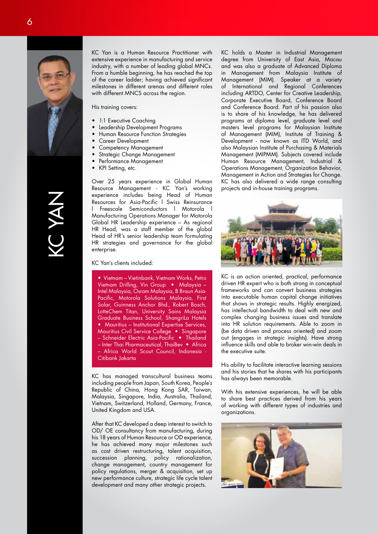

KC Yan is a Human Resource Practitioner with extensive experience in manufacturing and service industry, with a number of leading global MNCs. From a humble beginning, he has reached the top of the career ladder; having achieved significant milestones in different arenas and different roles with different MNCS across the region.

His training covers:

- 1:1 Executive Coaching
- Leadership Development Programs
- Human Resource Function Strategies
- Career Development
- Competency Management
- • Strategic Change Management
- Performance Management
- KPI Setting, etc.

Over 25 years experience in Global Human Resource Management - KC Yan's working experience includes being Head of Human Resources for Asia-Pacific l Swiss Reinsurance l Freescale Semiconductors l Motorola l Manufacturing Operations Manager for Motorola Global HR Leadership experience – As regional HR Head, was a staff member of the global Head of HR's senior leadership team formulating HR strategies and governance for the global enterprise.

KC Yan's clients included:

• Vietnam – Vietinbank, Vietnam Works, Petro Vietnam Drilling, Vin Group • Malaysia – Intel Malaysia, Osram Malaysia, B Braun Asia-Pacific, Motorola Solutions Malaysia, First Solar, Guinness Anchor Bhd., Robert Bosch, LotteChem Titan, University Sains Malaysia Graduate Business School, ShangriLa Hotels • Mauritius – Institutional Expertise Services, Mauritius Civil Service College • Singapore – Schneider Electric Asia-Pacific • Thailand – Inter Thai Pharmaceutical, ThaiBev • Africa – Africa World Scout Council, Indonesia - Citibank Jakarta

KC has managed transcultural business teams including people from Japan, South Korea, People's Republic of China, Hong Kong SAR, Taiwan, Malaysia, Singapore, India, Australia, Thailand, Vietnam, Switzerland, Holland, Germany, France, United Kingdom and USA.

After that KC developed a deep interest to switch to OD/ OE consultancy from manufacturing, during his 18 years of Human Resource or OD experience, he has achieved many major milestones such as cost driven restructuring, talent acquisition, succession planning, policy rationalization, change management, country management for policy regulations, merger & acquisition, set up new performance culture, strategic life cycle talent development and many other strategic projects.

KC holds a Master in Industrial Management degree from University of East Asia, Macau and was also a graduate of Advanced Diploma in Management from Malaysia Institute of Management (MIM). Speaker at a variety of International and Regional Conferences including ARTDO, Center for Creative Leadership, Corporate Executive Board, Conference Board and Conference Board. Part of his passion also is to share of his knowledge, he has delivered programs at diploma level, graduate level and masters level programs for Malaysian Institute of Management (MIM), Institute of Training & Development - now known as ITD World, and also Malaysian Institute of Purchasing & Materials Management (MIPMM). Subjects covered include Human Resource Management, Industrial & Operations Management, Organization Behavior, Management in Action and Strategies for Change. KC has also delivered a wide range consulting projects and in-house training programs.



KC is an action oriented, practical, performance driven HR expert who is both strong in conceptual frameworks and can convert business strategies into executable human capital change initiatives that shows in strategic results. Highly energized, has intellectual bandwidth to deal with new and complex changing business issues and translate into HR solution requirements. Able to zoom in (be data driven and process oriented) and zoom out (engages in strategic insights). Have strong influence skills and able to broker win-win deals in the executive suite.

His ability to facilitate interactive learning sessions and his stories that he shares with his participants has always been memorable.

With his extensive experiences, he will be able to share best practices derived from his years of working with different types of industries and organizations.

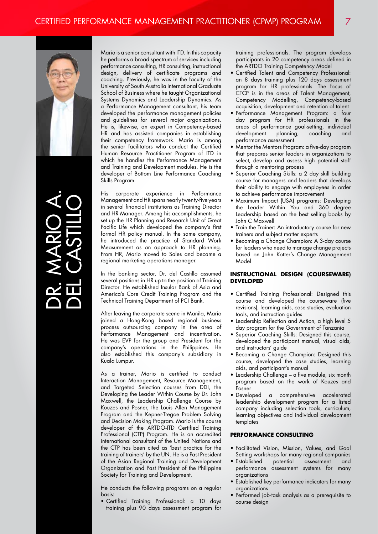

DR. MARIO A. DEL CASTILLO Mario is a senior consultant with ITD. In this capacity he performs a broad spectrum of services including performance consulting, HR consulting, instructional design, delivery of certificate programs and coaching. Previously, he was in the faculty of the University of South Australia International Graduate School of Business where he taught Organizational Systems Dynamics and Leadership Dynamics. As a Performance Management consultant, his team developed the performance management policies and guidelines for several major organizations. He is, likewise, an expert in Competency-based HR and has assisted companies in establishing their competency framework. Mario is among the senior facilitators who conduct the Certified Human Resource Practitioner Program of ITD in which he handles the Performance Management and Training and Development modules. He is the developer of Bottom Line Performance Coaching Skills Program.

His corporate experience in Performance Management and HR spans nearly twenty-five years in several financial institutions as Training Director and HR Manager. Among his accomplishments, he set up the HR Planning and Research Unit of Great Pacific Life which developed the company's first formal HR policy manual. In the same company, he introduced the practice of Standard Work Measurement as an approach to HR planning. From HR, Mario moved to Sales and became a regional marketing operations manager.

In the banking sector, Dr. del Castillo assumed several positions in HR up to the position of Training Director. He established Insular Bank of Asia and America's Core Credit Training Program and the Technical Training Department of PCI Bank.

After leaving the corporate scene in Manila, Mario joined a Hong-Kong based regional business process outsourcing company in the area of Performance Management and incentivation. He was EVP for the group and President for the company's operations in the Philippines. He also established this company's subsidiary in Kuala Lumpur.

As a trainer, Mario is certified to conduct Interaction Management, Resource Management, and Targeted Selection courses from DDI, the Developing the Leader Within Course by Dr. John Maxwell, the Leadership Challenge Course by Kouzes and Posner, the Louis Allen Management Program and the Kepner-Tregoe Problem Solving and Decision Making Program. Mario is the course developer of the ARTDO-ITD Certified Training Professional (CTP) Program. He is an accredited international consultant of the United Nations and the CTP has been cited as 'best practice for the training of trainers' by the UN. He is a Past President of the Asian Regional Training and Development Organization and Past President of the Philippine Society for Training and Development.

He conducts the following programs on a regular basis:

• Certified Training Professional: a 10 days training plus 90 days assessment program for

training professionals. The program develops participants in 20 competency areas defined in the ARTDO Training Competency Model

- • Certified Talent and Competency Professional: an 8 days training plus 120 days assessment program for HR professionals. The focus of CTCP is in the areas of Talent Management, Competency Modelling, Competency-based acquisition, development and retention of talent
- • Performance Management Program: a four day program for HR professionals in the areas of performance goal-setting, individual development planning, coaching and performance assessment
- • Mentor the Mentors Program: a five-day program that prepares senior leaders in organizations to select, develop and assess high potential staff through a mentoring process
- Superior Coaching Skills: a 2 day skill building course for managers and leaders that develops their ability to engage with employees in order to achieve performance improvement
- • Maximum Impact (USA) programs: Developing the Leader Within You and 360 degree Leadership based on the best selling books by John C Maxwell
- Train the Trainer: An introductory course for new trainers and subject matter experts
- • Becoming a Change Champion: A 3-day course for leaders who need to manage change projects based on John Kotter's Change Management Model

#### **INSTRUCTIONAL DESIGN (COURSEWARE) DEVELOPED**

- • Certified Training Professional: Designed this course and developed the courseware (five revisions), learning aids, case studies, evaluation tools, and instruction guides
- Leadership Reflection and Action, a high level 5 day program for the Government of Tanzania
- Superior Coaching Skills: Designed this course, developed the participant manual, visual aids, and instructors' guide
- • Becoming a Change Champion: Designed this course, developed the case studies, learning aids, and participant's manual
- Leadership Challenge a five module, six month program based on the work of Kouzes and Posner
- • Developed a comprehensive accelerated leadership development program for a listed company including selection tools, curriculum, learning objectives and individual development templates

#### **PERFORMANCE CONSULTING**

- • Facilitated Vision, Mission, Values, and Goal Setting workshops for many regional companies<br>• Established potential assessment and
- assessment and performance assessment systems for many organizations
- Established key performance indicators for many organizations
- • Performed job-task analysis as a prerequisite to course design